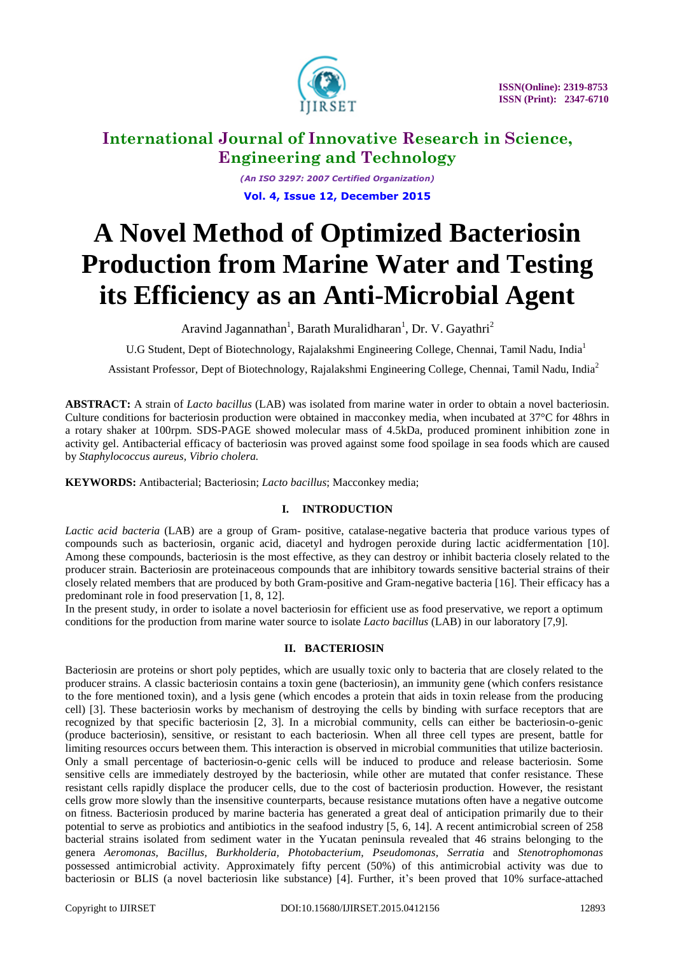

*(An ISO 3297: 2007 Certified Organization)* **Vol. 4, Issue 12, December 2015**

# **A Novel Method of Optimized Bacteriosin Production from Marine Water and Testing its Efficiency as an Anti-Microbial Agent**

Aravind Jagannathan<sup>1</sup>, Barath Muralidharan<sup>1</sup>, Dr. V. Gayathri<sup>2</sup>

U.G Student, Dept of Biotechnology, Rajalakshmi Engineering College, Chennai, Tamil Nadu, India<sup>1</sup>

Assistant Professor, Dept of Biotechnology, Rajalakshmi Engineering College, Chennai, Tamil Nadu, India<sup>2</sup>

**ABSTRACT:** A strain of *Lacto bacillus* (LAB) was isolated from marine water in order to obtain a novel bacteriosin. Culture conditions for bacteriosin production were obtained in macconkey media, when incubated at 37°C for 48hrs in a rotary shaker at 100rpm. SDS-PAGE showed molecular mass of 4.5kDa, produced prominent inhibition zone in activity gel. Antibacterial efficacy of bacteriosin was proved against some food spoilage in sea foods which are caused by *Staphylococcus aureus, Vibrio cholera.*

**KEYWORDS:** Antibacterial; Bacteriosin; *Lacto bacillus*; Macconkey media;

#### **I. INTRODUCTION**

*Lactic acid bacteria* (LAB) are a group of Gram- positive, catalase-negative bacteria that produce various types of compounds such as bacteriosin, organic acid, diacetyl and hydrogen peroxide during lactic acidfermentation [10]. Among these compounds, bacteriosin is the most effective, as they can destroy or inhibit bacteria closely related to the producer strain. Bacteriosin are proteinaceous compounds that are inhibitory towards sensitive bacterial strains of their closely related members that are produced by both Gram-positive and Gram-negative bacteria [16]. Their efficacy has a predominant role in food preservation [1, 8, 12].

In the present study, in order to isolate a novel bacteriosin for efficient use as food preservative, we report a optimum conditions for the production from marine water source to isolate *Lacto bacillus* (LAB) in our laboratory [7,9].

#### **II. BACTERIOSIN**

Bacteriosin are proteins or short poly peptides, which are usually toxic only to bacteria that are closely related to the producer strains. A classic bacteriosin contains a toxin gene (bacteriosin), an immunity gene (which confers resistance to the fore mentioned toxin), and a lysis gene (which encodes a protein that aids in toxin release from the producing cell) [3]. These bacteriosin works by mechanism of destroying the cells by binding with surface receptors that are recognized by that specific bacteriosin [2, 3]. In a microbial community, cells can either be bacteriosin-o-genic (produce bacteriosin), sensitive, or resistant to each bacteriosin. When all three cell types are present, battle for limiting resources occurs between them. This interaction is observed in microbial communities that utilize bacteriosin. Only a small percentage of bacteriosin-o-genic cells will be induced to produce and release bacteriosin. Some sensitive cells are immediately destroyed by the bacteriosin, while other are mutated that confer resistance. These resistant cells rapidly displace the producer cells, due to the cost of bacteriosin production. However, the resistant cells grow more slowly than the insensitive counterparts, because resistance mutations often have a negative outcome on fitness. Bacteriosin produced by marine bacteria has generated a great deal of anticipation primarily due to their potential to serve as probiotics and antibiotics in the seafood industry [5, 6, 14]. A recent antimicrobial screen of 258 bacterial strains isolated from sediment water in the Yucatan peninsula revealed that 46 strains belonging to the genera *Aeromonas, Bacillus, Burkholderia, Photobacterium, Pseudomonas, Serratia* and *Stenotrophomonas* possessed antimicrobial activity. Approximately fifty percent (50%) of this antimicrobial activity was due to bacteriosin or BLIS (a novel bacteriosin like substance) [4]. Further, it's been proved that 10% surface-attached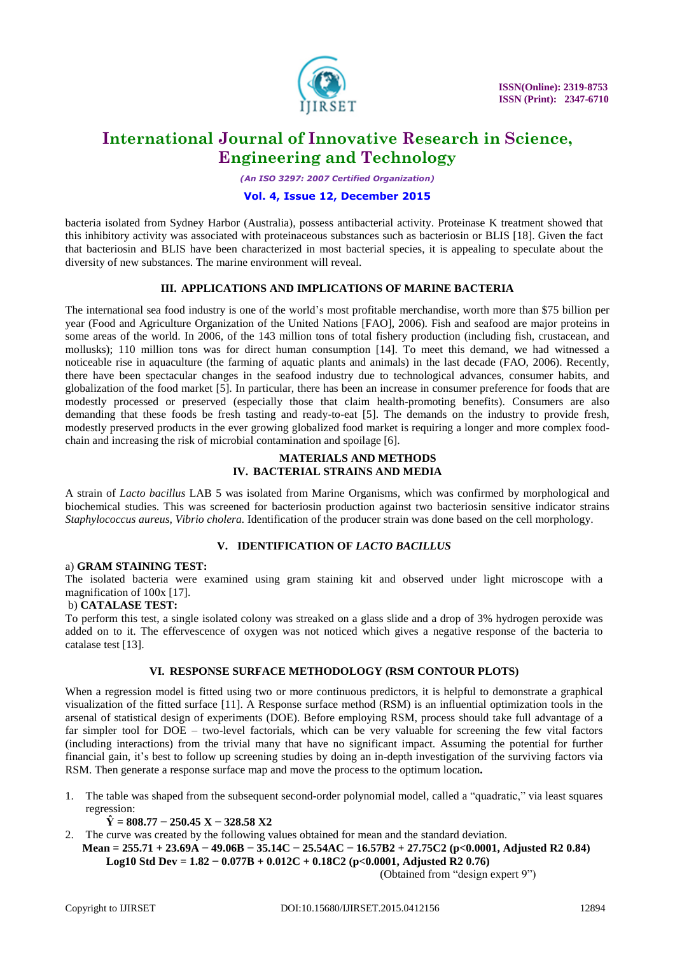

*(An ISO 3297: 2007 Certified Organization)*

#### **Vol. 4, Issue 12, December 2015**

bacteria isolated from Sydney Harbor (Australia), possess antibacterial activity. Proteinase K treatment showed that this inhibitory activity was associated with proteinaceous substances such as bacteriosin or BLIS [18]. Given the fact that bacteriosin and BLIS have been characterized in most bacterial species, it is appealing to speculate about the diversity of new substances. The marine environment will reveal.

#### **III. APPLICATIONS AND IMPLICATIONS OF MARINE BACTERIA**

The international sea food industry is one of the world's most profitable merchandise, worth more than \$75 billion per year (Food and Agriculture Organization of the United Nations [FAO], 2006). Fish and seafood are major proteins in some areas of the world. In 2006, of the 143 million tons of total fishery production (including fish, crustacean, and mollusks); 110 million tons was for direct human consumption [14]. To meet this demand, we had witnessed a noticeable rise in aquaculture (the farming of aquatic plants and animals) in the last decade (FAO, 2006). Recently, there have been spectacular changes in the seafood industry due to technological advances, consumer habits, and globalization of the food market [5]. In particular, there has been an increase in consumer preference for foods that are modestly processed or preserved (especially those that claim health-promoting benefits). Consumers are also demanding that these foods be fresh tasting and ready-to-eat [5]. The demands on the industry to provide fresh, modestly preserved products in the ever growing globalized food market is requiring a longer and more complex foodchain and increasing the risk of microbial contamination and spoilage [6].

#### **MATERIALS AND METHODS IV. BACTERIAL STRAINS AND MEDIA**

A strain of *Lacto bacillus* LAB 5 was isolated from Marine Organisms, which was confirmed by morphological and biochemical studies. This was screened for bacteriosin production against two bacteriosin sensitive indicator strains *Staphylococcus aureus, Vibrio cholera.* Identification of the producer strain was done based on the cell morphology.

#### **V. IDENTIFICATION OF** *LACTO BACILLUS*

#### a) **GRAM STAINING TEST:**

The isolated bacteria were examined using gram staining kit and observed under light microscope with a magnification of 100x [17].

#### b) **CATALASE TEST:**

To perform this test, a single isolated colony was streaked on a glass slide and a drop of 3% hydrogen peroxide was added on to it. The effervescence of oxygen was not noticed which gives a negative response of the bacteria to catalase test [13].

#### **VI. RESPONSE SURFACE METHODOLOGY (RSM CONTOUR PLOTS)**

When a regression model is fitted using two or more continuous predictors, it is helpful to demonstrate a graphical visualization of the fitted surface [11]. A Response surface method (RSM) is an influential optimization tools in the arsenal of statistical design of experiments (DOE). Before employing RSM, process should take full advantage of a far simpler tool for DOE – two-level factorials, which can be very valuable for screening the few vital factors (including interactions) from the trivial many that have no significant impact. Assuming the potential for further financial gain, it's best to follow up screening studies by doing an in-depth investigation of the surviving factors via RSM. Then generate a response surface map and move the process to the optimum location**.**

1. The table was shaped from the subsequent second-order polynomial model, called a "quadratic," via least squares regression:

**Ŷ = 808.77 − 250.45 X − 328.58 X2**

- 2. The curve was created by the following values obtained for mean and the standard deviation.
- Mean =  $255.71 + 23.69A 49.06B 35.14C 25.54AC 16.57B2 + 27.75C2$  (p<0.0001, Adjusted R2 0.84) **Log10 Std Dev = 1.82 − 0.077B + 0.012C + 0.18C2 (p<0.0001, Adjusted R2 0.76)**

(Obtained from "design expert 9")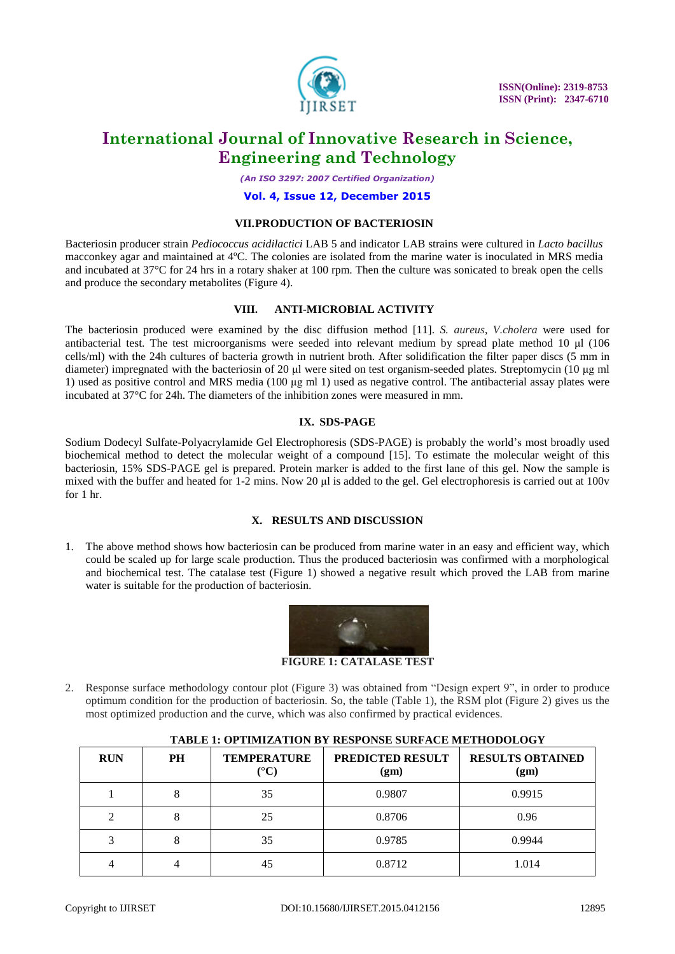

*(An ISO 3297: 2007 Certified Organization)*

#### **Vol. 4, Issue 12, December 2015**

#### **VII.PRODUCTION OF BACTERIOSIN**

Bacteriosin producer strain *Pediococcus acidilactici* LAB 5 and indicator LAB strains were cultured in *Lacto bacillus* macconkey agar and maintained at 4ºC. The colonies are isolated from the marine water is inoculated in MRS media and incubated at  $37^{\circ}$ C for 24 hrs in a rotary shaker at 100 rpm. Then the culture was sonicated to break open the cells and produce the secondary metabolites (Figure 4).

#### **VIII. ANTI-MICROBIAL ACTIVITY**

The bacteriosin produced were examined by the disc diffusion method [11]. *S. aureus*, *V.cholera* were used for antibacterial test. The test microorganisms were seeded into relevant medium by spread plate method 10 μl (106 cells/ml) with the 24h cultures of bacteria growth in nutrient broth. After solidification the filter paper discs (5 mm in diameter) impregnated with the bacteriosin of 20 μl were sited on test organism-seeded plates. Streptomycin (10 μg ml 1) used as positive control and MRS media (100 μg ml 1) used as negative control. The antibacterial assay plates were incubated at 37°C for 24h. The diameters of the inhibition zones were measured in mm.

#### **IX. SDS-PAGE**

Sodium Dodecyl Sulfate-Polyacrylamide Gel Electrophoresis (SDS-PAGE) is probably the world's most broadly used biochemical method to detect the molecular weight of a compound [15]. To estimate the molecular weight of this bacteriosin, 15% SDS-PAGE gel is prepared. Protein marker is added to the first lane of this gel. Now the sample is mixed with the buffer and heated for 1-2 mins. Now 20 μl is added to the gel. Gel electrophoresis is carried out at 100v for  $1$  hr.

#### **X. RESULTS AND DISCUSSION**

1. The above method shows how bacteriosin can be produced from marine water in an easy and efficient way, which could be scaled up for large scale production. Thus the produced bacteriosin was confirmed with a morphological and biochemical test. The catalase test (Figure 1) showed a negative result which proved the LAB from marine water is suitable for the production of bacteriosin.



**FIGURE 1: CATALASE TEST**

2. Response surface methodology contour plot (Figure 3) was obtained from "Design expert 9", in order to produce optimum condition for the production of bacteriosin. So, the table (Table 1), the RSM plot (Figure 2) gives us the most optimized production and the curve, which was also confirmed by practical evidences.

| <b>RUN</b> | PH | <b>TEMPERATURE</b><br>$({}^{\circ}{\rm C})$ | PREDICTED RESULT<br>(gm) | <b>RESULTS OBTAINED</b><br>(gm) |
|------------|----|---------------------------------------------|--------------------------|---------------------------------|
|            |    | 35                                          | 0.9807                   | 0.9915                          |
| ◠          | 8  | 25                                          | 0.8706                   | 0.96                            |
| 3          | 8  | 35                                          | 0.9785                   | 0.9944                          |
|            |    | 45                                          | 0.8712                   | 1.014                           |

### **TABLE 1: OPTIMIZATION BY RESPONSE SURFACE METHODOLOGY**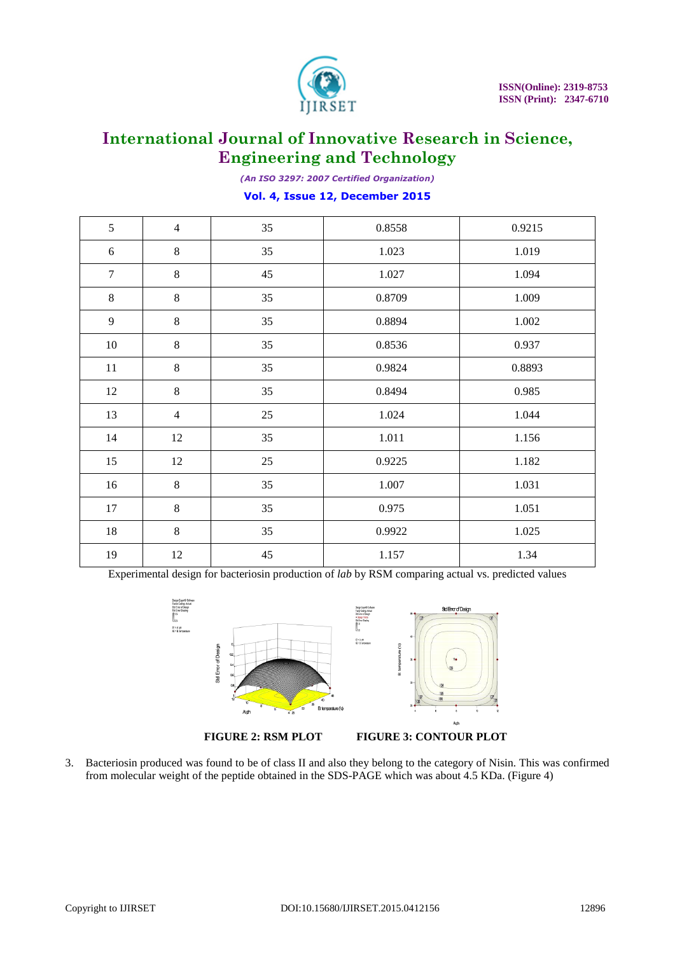

*(An ISO 3297: 2007 Certified Organization)*

#### **Vol. 4, Issue 12, December 2015**

| 5              | $\overline{4}$ | 35 | 0.8558 | 0.9215 |
|----------------|----------------|----|--------|--------|
| $\sqrt{6}$     | $\,8\,$        | 35 | 1.023  | 1.019  |
| $\overline{7}$ | $8\,$          | 45 | 1.027  | 1.094  |
| $8\,$          | $8\,$          | 35 | 0.8709 | 1.009  |
| 9              | $8\,$          | 35 | 0.8894 | 1.002  |
| $10\,$         | $8\,$          | 35 | 0.8536 | 0.937  |
| $11\,$         | $\,8\,$        | 35 | 0.9824 | 0.8893 |
| 12             | $8\,$          | 35 | 0.8494 | 0.985  |
| 13             | $\overline{4}$ | 25 | 1.024  | 1.044  |
| 14             | 12             | 35 | 1.011  | 1.156  |
| 15             | 12             | 25 | 0.9225 | 1.182  |
| 16             | 8              | 35 | 1.007  | 1.031  |
| 17             | $8\,$          | 35 | 0.975  | 1.051  |
| $18\,$         | 8              | 35 | 0.9922 | 1.025  |
| 19             | 12             | 45 | 1.157  | 1.34   |

Experimental design for bacteriosin production of *lab* by RSM comparing actual vs. predicted values



3. Bacteriosin produced was found to be of class II and also they belong to the category of Nisin. This was confirmed from molecular weight of the peptide obtained in the SDS-PAGE which was about 4.5 KDa. (Figure 4)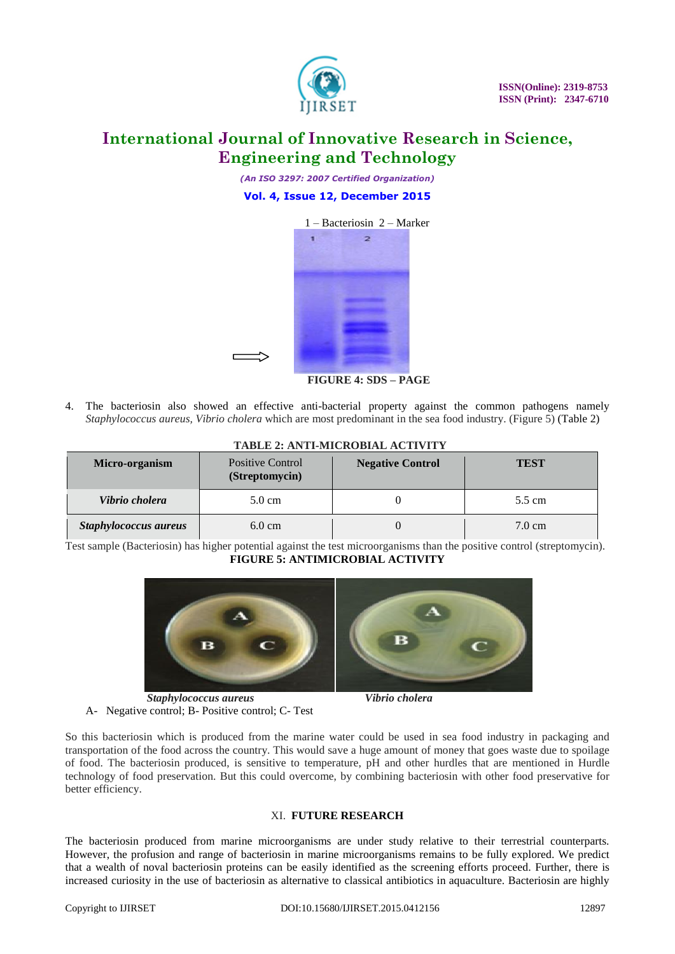

*(An ISO 3297: 2007 Certified Organization)*

### **Vol. 4, Issue 12, December 2015**



 **FIGURE 4: SDS – PAGE**

4. The bacteriosin also showed an effective anti-bacterial property against the common pathogens namely *Staphylococcus aureus, Vibrio cholera* which are most predominant in the sea food industry. (Figure 5) (Table 2)

| Micro-organism        | Positive Control<br>(Streptomycin) | <b>Negative Control</b> | <b>TEST</b>      |  |  |  |  |
|-----------------------|------------------------------------|-------------------------|------------------|--|--|--|--|
| Vibrio cholera        | $5.0 \text{ cm}$                   |                         | 5.5 cm           |  |  |  |  |
| Staphylococcus aureus | $6.0 \text{ cm}$                   |                         | $7.0 \text{ cm}$ |  |  |  |  |

### **TABLE 2: ANTI-MICROBIAL ACTIVITY**

Test sample (Bacteriosin) has higher potential against the test microorganisms than the positive control (streptomycin). **FIGURE 5: ANTIMICROBIAL ACTIVITY**



 *Staphylococcus aureus Vibrio cholera* A- Negative control; B- Positive control; C- Test

So this bacteriosin which is produced from the marine water could be used in sea food industry in packaging and transportation of the food across the country. This would save a huge amount of money that goes waste due to spoilage of food. The bacteriosin produced, is sensitive to temperature, pH and other hurdles that are mentioned in Hurdle technology of food preservation. But this could overcome, by combining bacteriosin with other food preservative for better efficiency.

#### XI. **FUTURE RESEARCH**

The bacteriosin produced from marine microorganisms are under study relative to their terrestrial counterparts. However, the profusion and range of bacteriosin in marine microorganisms remains to be fully explored. We predict that a wealth of noval bacteriosin proteins can be easily identified as the screening efforts proceed. Further, there is increased curiosity in the use of bacteriosin as alternative to classical antibiotics in aquaculture. Bacteriosin are highly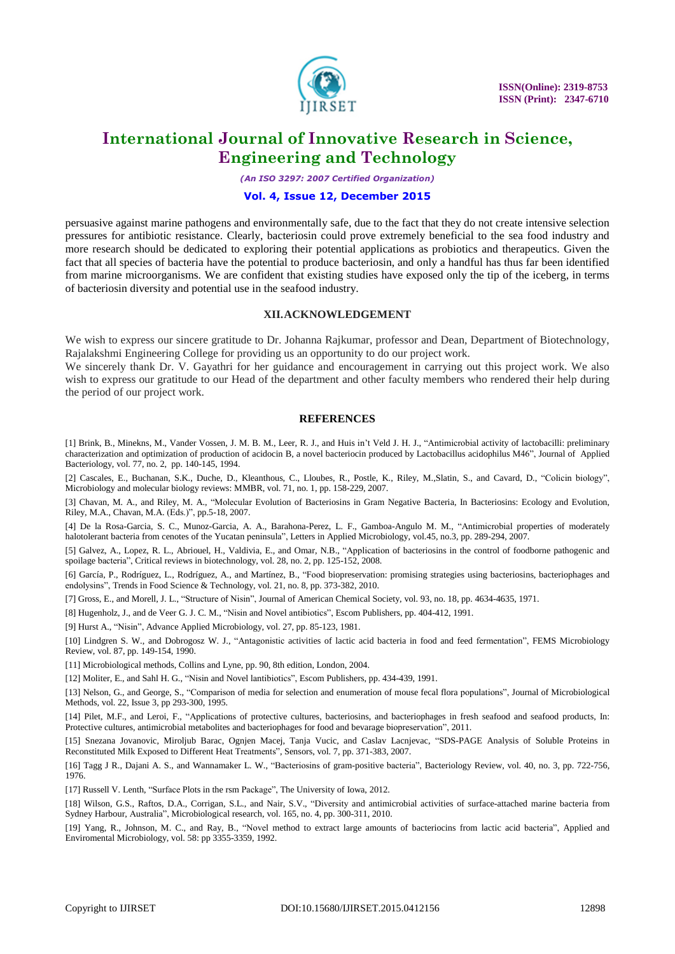

*(An ISO 3297: 2007 Certified Organization)*

#### **Vol. 4, Issue 12, December 2015**

persuasive against marine pathogens and environmentally safe, due to the fact that they do not create intensive selection pressures for antibiotic resistance. Clearly, bacteriosin could prove extremely beneficial to the sea food industry and more research should be dedicated to exploring their potential applications as probiotics and therapeutics. Given the fact that all species of bacteria have the potential to produce bacteriosin, and only a handful has thus far been identified from marine microorganisms. We are confident that existing studies have exposed only the tip of the iceberg, in terms of bacteriosin diversity and potential use in the seafood industry.

#### **XII.ACKNOWLEDGEMENT**

We wish to express our sincere gratitude to Dr. Johanna Rajkumar, professor and Dean, Department of Biotechnology, Rajalakshmi Engineering College for providing us an opportunity to do our project work.

We sincerely thank Dr. V. Gayathri for her guidance and encouragement in carrying out this project work. We also wish to express our gratitude to our Head of the department and other faculty members who rendered their help during the period of our project work.

#### **REFERENCES**

[1] Brink, B., Minekns, M., Vander Vossen, J. M. B. M., Leer, R. J., and Huis in't Veld J. H. J., "Antimicrobial activity of lactobacilli: preliminary characterization and optimization of production of acidocin B, a novel bacteriocin produced by Lactobacillus acidophilus M46", Journal of Applied Bacteriology, vol. 77, no. 2, pp. 140-145, 1994.

[2] Cascales, E., Buchanan, S.K., Duche, D., Kleanthous, C., Lloubes, R., Postle, K., Riley, M.,Slatin, S., and Cavard, D., "Colicin biology", Microbiology and molecular biology reviews: MMBR, vol. 71, no. 1, pp. 158-229, 2007.

[3] Chavan, M. A., and Riley, M. A., "Molecular Evolution of Bacteriosins in Gram Negative Bacteria, In Bacteriosins: Ecology and Evolution, Riley, M.A., Chavan, M.A. (Eds.)", pp.5-18, 2007.

[4] De la Rosa-Garcia, S. C., Munoz-Garcia, A. A., Barahona-Perez, L. F., Gamboa-Angulo M. M., "Antimicrobial properties of moderately halotolerant bacteria from cenotes of the Yucatan peninsula", Letters in Applied Microbiology, vol.45, no.3, pp. 289-294, 2007.

[5] Galvez, A., Lopez, R. L., Abriouel, H., Valdivia, E., and Omar, N.B., "Application of bacteriosins in the control of foodborne pathogenic and spoilage bacteria", Critical reviews in biotechnology, vol. 28, no. 2, pp. 125-152, 2008.

[6] García, P., Rodríguez, L., Rodríguez, A., and Martínez, B., "Food biopreservation: promising strategies using bacteriosins, bacteriophages and endolysins", Trends in Food Science & Technology, vol. 21, no. 8, pp. 373-382, 2010.

[7] Gross, E., and Morell, J. L., "Structure of Nisin", Journal of American Chemical Society, vol. 93, no. 18, pp. 4634-4635, 1971.

[8] Hugenholz, J., and de Veer G. J. C. M., "Nisin and Novel antibiotics", Escom Publishers, pp. 404-412, 1991.

[9] Hurst A., "Nisin", Advance Applied Microbiology, vol. 27, pp. 85-123, 1981.

[10] Lindgren S. W., and Dobrogosz W. J., "Antagonistic activities of lactic acid bacteria in food and feed fermentation", FEMS Microbiology Review, vol. 87, pp. 149-154, 1990.

[11] Microbiological methods, Collins and Lyne, pp. 90, 8th edition, London, 2004.

[12] Moliter, E., and Sahl H. G., "Nisin and Novel lantibiotics", Escom Publishers, pp. 434-439, 1991.

[13] Nelson, G., and George, S., "Comparison of media for selection and enumeration of mouse fecal flora populations", Journal of Microbiological Methods, vol. 22, Issue 3, pp 293-300, 1995.

[14] Pilet, M.F., and Leroi, F., "Applications of protective cultures, bacteriosins, and bacteriophages in fresh seafood and seafood products, In: Protective cultures, antimicrobial metabolites and bacteriophages for food and bevarage biopreservation", 2011.

[15] Snezana Jovanovic, Miroljub Barac, Ognjen Macej, Tanja Vucic, and Caslav Lacnjevac, "SDS-PAGE Analysis of Soluble Proteins in Reconstituted Milk Exposed to Different Heat Treatments", Sensors, vol. 7, pp. 371-383, 2007.

[16] Tagg J R., Dajani A. S., and Wannamaker L. W., "Bacteriosins of gram-positive bacteria", Bacteriology Review, vol. 40, no. 3, pp. 722-756, 1976.

[17] Russell V. Lenth, "Surface Plots in the rsm Package", The University of Iowa, 2012.

[18] Wilson, G.S., Raftos, D.A., Corrigan, S.L., and Nair, S.V., "Diversity and antimicrobial activities of surface-attached marine bacteria from Sydney Harbour, Australia", Microbiological research, vol. 165, no. 4, pp. 300-311, 2010.

[19] Yang, R., Johnson, M. C., and Ray, B., "Novel method to extract large amounts of bacteriocins from lactic acid bacteria", Applied and Enviromental Microbiology, vol. 58: pp 3355-3359, 1992.